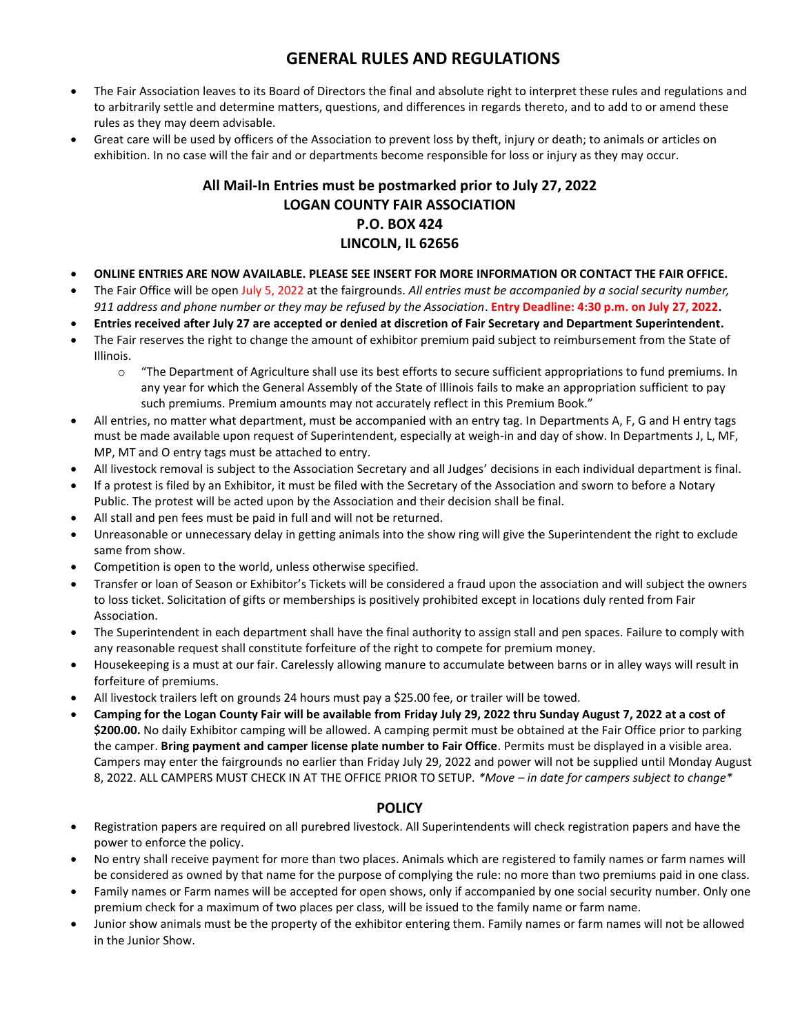## **GENERAL RULES AND REGULATIONS**

- The Fair Association leaves to its Board of Directors the final and absolute right to interpret these rules and regulations and to arbitrarily settle and determine matters, questions, and differences in regards thereto, and to add to or amend these rules as they may deem advisable.
- Great care will be used by officers of the Association to prevent loss by theft, injury or death; to animals or articles on exhibition. In no case will the fair and or departments become responsible for loss or injury as they may occur.

## **All Mail-In Entries must be postmarked prior to July 27, 2022 LOGAN COUNTY FAIR ASSOCIATION P.O. BOX 424 LINCOLN, IL 62656**

- **ONLINE ENTRIES ARE NOW AVAILABLE. PLEASE SEE INSERT FOR MORE INFORMATION OR CONTACT THE FAIR OFFICE.**
- The Fair Office will be open July 5, 2022 at the fairgrounds. *All entries must be accompanied by a social security number, 911 address and phone number or they may be refused by the Association*. **Entry Deadline: 4:30 p.m. on July 27, 2022.**
- **Entries received after July 27 are accepted or denied at discretion of Fair Secretary and Department Superintendent.**
- The Fair reserves the right to change the amount of exhibitor premium paid subject to reimbursement from the State of Illinois.
	- $\circ$  "The Department of Agriculture shall use its best efforts to secure sufficient appropriations to fund premiums. In any year for which the General Assembly of the State of Illinois fails to make an appropriation sufficient to pay such premiums. Premium amounts may not accurately reflect in this Premium Book."
- All entries, no matter what department, must be accompanied with an entry tag. In Departments A, F, G and H entry tags must be made available upon request of Superintendent, especially at weigh-in and day of show. In Departments J, L, MF, MP, MT and O entry tags must be attached to entry.
- All livestock removal is subject to the Association Secretary and all Judges' decisions in each individual department is final.
- If a protest is filed by an Exhibitor, it must be filed with the Secretary of the Association and sworn to before a Notary Public. The protest will be acted upon by the Association and their decision shall be final.
- All stall and pen fees must be paid in full and will not be returned.
- Unreasonable or unnecessary delay in getting animals into the show ring will give the Superintendent the right to exclude same from show.
- Competition is open to the world, unless otherwise specified.
- Transfer or loan of Season or Exhibitor's Tickets will be considered a fraud upon the association and will subject the owners to loss ticket. Solicitation of gifts or memberships is positively prohibited except in locations duly rented from Fair Association.
- The Superintendent in each department shall have the final authority to assign stall and pen spaces. Failure to comply with any reasonable request shall constitute forfeiture of the right to compete for premium money.
- Housekeeping is a must at our fair. Carelessly allowing manure to accumulate between barns or in alley ways will result in forfeiture of premiums.
- All livestock trailers left on grounds 24 hours must pay a \$25.00 fee, or trailer will be towed.
- **Camping for the Logan County Fair will be available from Friday July 29, 2022 thru Sunday August 7, 2022 at a cost of \$200.00.** No daily Exhibitor camping will be allowed. A camping permit must be obtained at the Fair Office prior to parking the camper. **Bring payment and camper license plate number to Fair Office**. Permits must be displayed in a visible area. Campers may enter the fairgrounds no earlier than Friday July 29, 2022 and power will not be supplied until Monday August 8, 2022. ALL CAMPERS MUST CHECK IN AT THE OFFICE PRIOR TO SETUP*. \*Move – in date for campers subject to change\**

## **POLICY**

- Registration papers are required on all purebred livestock. All Superintendents will check registration papers and have the power to enforce the policy.
- No entry shall receive payment for more than two places. Animals which are registered to family names or farm names will be considered as owned by that name for the purpose of complying the rule: no more than two premiums paid in one class.
- Family names or Farm names will be accepted for open shows, only if accompanied by one social security number. Only one premium check for a maximum of two places per class, will be issued to the family name or farm name.
- Junior show animals must be the property of the exhibitor entering them. Family names or farm names will not be allowed in the Junior Show.